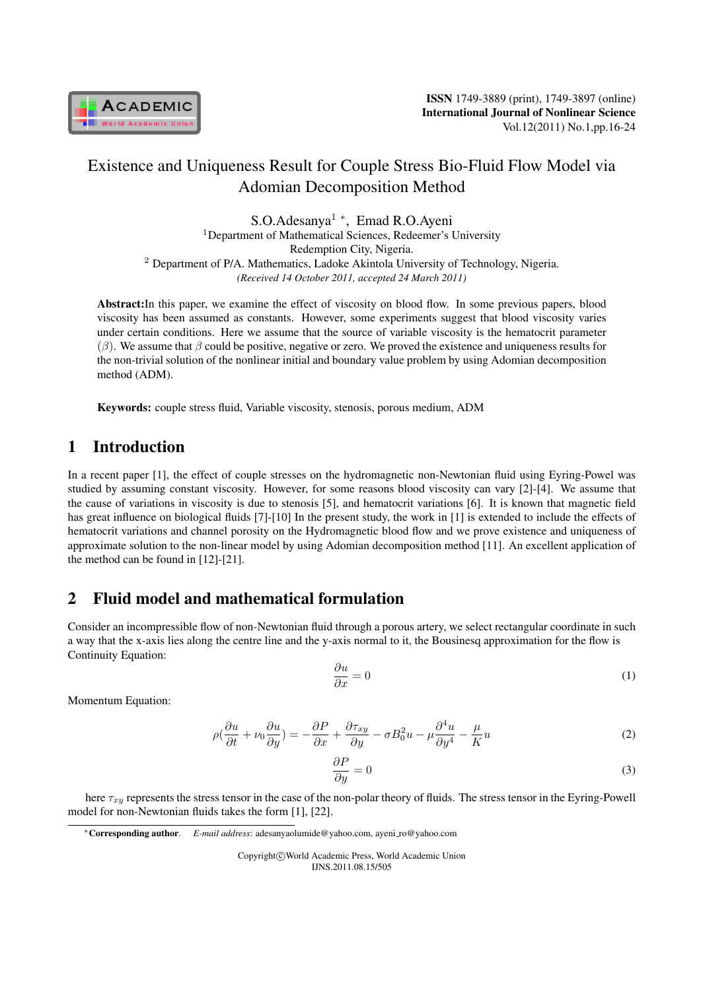

S.O.Adesanya<sup>1</sup> *<sup>∗</sup>* , Emad R.O.Ayeni <sup>1</sup>Department of Mathematical Sciences, Redeemer's University Redemption City, Nigeria. <sup>2</sup> Department of P/A. Mathematics, Ladoke Akintola University of Technology, Nigeria. *(Received 14 October 2011, accepted 24 March 2011)*

Abstract:In this paper, we examine the effect of viscosity on blood flow. In some previous papers, blood viscosity has been assumed as constants. However, some experiments suggest that blood viscosity varies under certain conditions. Here we assume that the source of variable viscosity is the hematocrit parameter  $(\beta)$ . We assume that  $\beta$  could be positive, negative or zero. We proved the existence and uniqueness results for the non-trivial solution of the nonlinear initial and boundary value problem by using Adomian decomposition method (ADM).

Keywords: couple stress fluid, Variable viscosity, stenosis, porous medium, ADM

## 1 Introduction

In a recent paper [1], the effect of couple stresses on the hydromagnetic non-Newtonian fluid using Eyring-Powel was studied by assuming constant viscosity. However, for some reasons blood viscosity can vary [2]-[4]. We assume that the cause of variations in viscosity is due to stenosis [5], and hematocrit variations [6]. It is known that magnetic field has great influence on biological fluids [7]-[10] In the present study, the work in [1] is extended to include the effects of hematocrit variations and channel porosity on the Hydromagnetic blood flow and we prove existence and uniqueness of approximate solution to the non-linear model by using Adomian decomposition method [11]. An excellent application of the method can be found in [12]-[21].

## 2 Fluid model and mathematical formulation

Consider an incompressible flow of non-Newtonian fluid through a porous artery, we select rectangular coordinate in such a way that the x-axis lies along the centre line and the y-axis normal to it, the Bousinesq approximation for the flow is Continuity Equation:

$$
\frac{\partial u}{\partial x} = 0\tag{1}
$$

Momentum Equation:

$$
\rho(\frac{\partial u}{\partial t} + \nu_0 \frac{\partial u}{\partial y}) = -\frac{\partial P}{\partial x} + \frac{\partial \tau_{xy}}{\partial y} - \sigma B_0^2 u - \mu \frac{\partial^4 u}{\partial y^4} - \frac{\mu}{K} u \tag{2}
$$

$$
\frac{\partial P}{\partial y} = 0\tag{3}
$$

here  $\tau_{xy}$  represents the stress tensor in the case of the non-polar theory of fluids. The stress tensor in the Eyring-Powell model for non-Newtonian fluids takes the form [1], [22].

Copyright*⃝*c World Academic Press, World Academic Union IJNS.2011.08.15/505

*<sup>∗</sup>*Corresponding author. *E-mail address*: adesanyaolumide@yahoo.com, ayeni ro@yahoo.com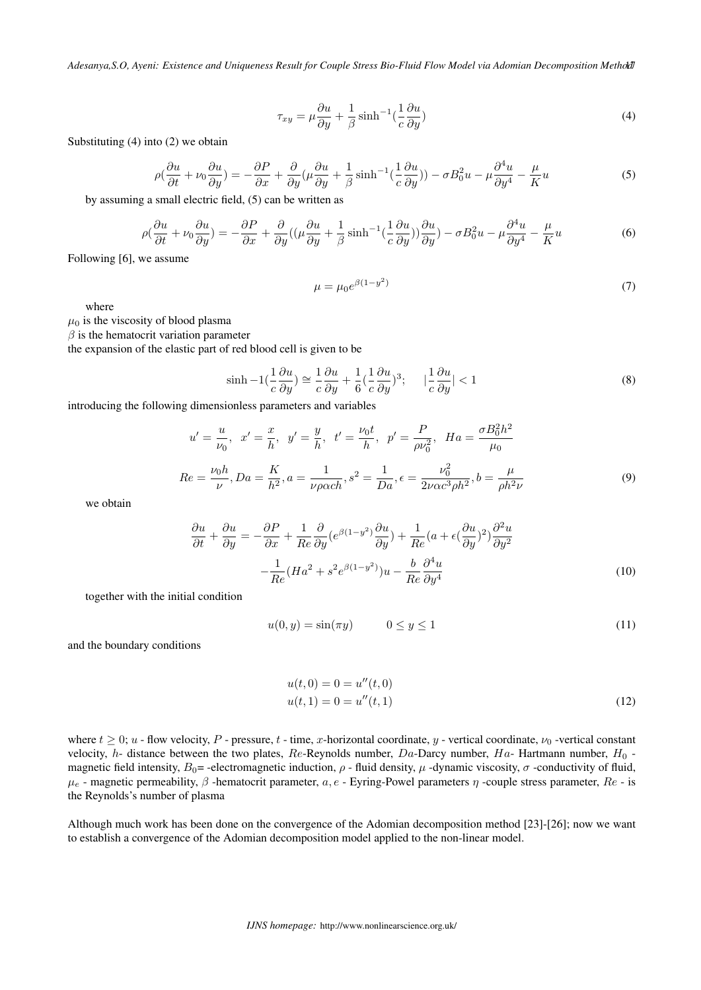$$
\tau_{xy} = \mu \frac{\partial u}{\partial y} + \frac{1}{\beta} \sinh^{-1} \left(\frac{1}{c} \frac{\partial u}{\partial y}\right) \tag{4}
$$

Substituting (4) into (2) we obtain

$$
\rho(\frac{\partial u}{\partial t} + \nu_0 \frac{\partial u}{\partial y}) = -\frac{\partial P}{\partial x} + \frac{\partial}{\partial y} (\mu \frac{\partial u}{\partial y} + \frac{1}{\beta} \sinh^{-1}(\frac{1}{c} \frac{\partial u}{\partial y})) - \sigma B_0^2 u - \mu \frac{\partial^4 u}{\partial y^4} - \frac{\mu}{K} u \tag{5}
$$

by assuming a small electric field, (5) can be written as

$$
\rho \left( \frac{\partial u}{\partial t} + \nu_0 \frac{\partial u}{\partial y} \right) = -\frac{\partial P}{\partial x} + \frac{\partial}{\partial y} \left( (\mu \frac{\partial u}{\partial y} + \frac{1}{\beta} \sinh^{-1} \left( \frac{1}{c} \frac{\partial u}{\partial y} \right) \right) \frac{\partial u}{\partial y} - \sigma B_0^2 u - \mu \frac{\partial^4 u}{\partial y^4} - \frac{\mu}{K} u \tag{6}
$$

Following [6], we assume

$$
\mu = \mu_0 e^{\beta (1 - y^2)} \tag{7}
$$

where

 $\mu_0$  is the viscosity of blood plasma

 $\beta$  is the hematocrit variation parameter

the expansion of the elastic part of red blood cell is given to be

$$
\sinh - 1 \left(\frac{1}{c}\frac{\partial u}{\partial y}\right) \approx \frac{1}{c}\frac{\partial u}{\partial y} + \frac{1}{6}\left(\frac{1}{c}\frac{\partial u}{\partial y}\right)^3; \qquad \left|\frac{1}{c}\frac{\partial u}{\partial y}\right| < 1\tag{8}
$$

introducing the following dimensionless parameters and variables

$$
u' = \frac{u}{\nu_0}, \quad x' = \frac{x}{h}, \quad y' = \frac{y}{h}, \quad t' = \frac{\nu_0 t}{h}, \quad p' = \frac{P}{\rho \nu_0^2}, \quad Ha = \frac{\sigma B_0^2 h^2}{\mu_0}
$$

$$
Re = \frac{\nu_0 h}{\nu}, Da = \frac{K}{h^2}, a = \frac{1}{\nu \rho \alpha c h}, s^2 = \frac{1}{Da}, \epsilon = \frac{\nu_0^2}{2\nu \alpha c^3 \rho h^2}, b = \frac{\mu}{\rho h^2 \nu}
$$
(9)

we obtain

$$
\frac{\partial u}{\partial t} + \frac{\partial u}{\partial y} = -\frac{\partial P}{\partial x} + \frac{1}{Re} \frac{\partial}{\partial y} (e^{\beta(1-y^2)} \frac{\partial u}{\partial y}) + \frac{1}{Re} (a + \epsilon (\frac{\partial u}{\partial y})^2) \frac{\partial^2 u}{\partial y^2}
$$

$$
- \frac{1}{Re} (Ha^2 + s^2 e^{\beta(1-y^2)}) u - \frac{b}{Re} \frac{\partial^4 u}{\partial y^4}
$$
(10)

together with the initial condition

$$
u(0, y) = \sin(\pi y) \qquad 0 \le y \le 1 \tag{11}
$$

and the boundary conditions

$$
u(t,0) = 0 = u''(t,0)
$$
  

$$
u(t,1) = 0 = u''(t,1)
$$
 (12)

where  $t \geq 0$ ;  $u$  - flow velocity,  $P$  - pressure,  $t$  - time, x-horizontal coordinate,  $y$  - vertical coordinate,  $\nu_0$  -vertical constant velocity, *h*- distance between the two plates,  $Re$ -Reynolds number,  $Da$ -Darcy number,  $Ha$ - Hartmann number,  $H_0$  magnetic field intensity,  $B_0$  = -electromagnetic induction,  $\rho$  - fluid density,  $\mu$  -dynamic viscosity,  $\sigma$  -conductivity of fluid,  $\mu_e$  - magnetic permeability,  $\beta$  -hematocrit parameter,  $a, e$  - Eyring-Powel parameters  $\eta$  -couple stress parameter,  $Re$  - is the Reynolds's number of plasma

Although much work has been done on the convergence of the Adomian decomposition method [23]-[26]; now we want to establish a convergence of the Adomian decomposition model applied to the non-linear model.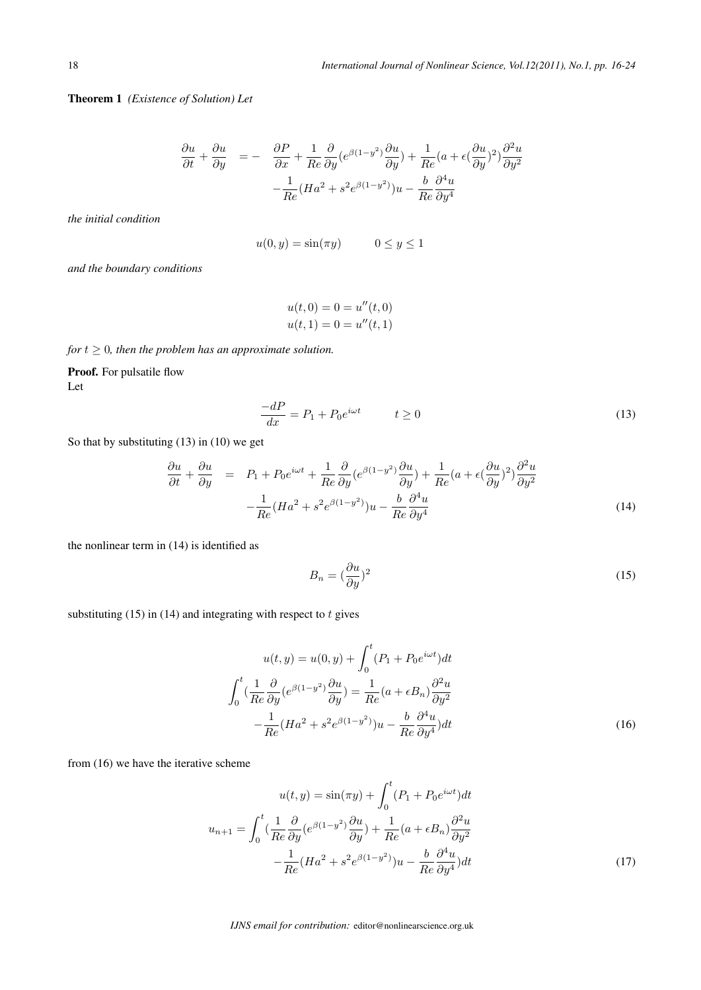Theorem 1 *(Existence of Solution) Let*

$$
\frac{\partial u}{\partial t} + \frac{\partial u}{\partial y} = - \frac{\partial P}{\partial x} + \frac{1}{Re} \frac{\partial}{\partial y} (e^{\beta(1-y^2)} \frac{\partial u}{\partial y}) + \frac{1}{Re} (a + \epsilon (\frac{\partial u}{\partial y})^2) \frac{\partial^2 u}{\partial y^2}
$$

$$
- \frac{1}{Re} (H a^2 + s^2 e^{\beta(1-y^2)}) u - \frac{b}{Re} \frac{\partial^4 u}{\partial y^4}
$$

*the initial condition*

$$
u(0, y) = \sin(\pi y) \qquad \quad 0 \le y \le 1
$$

*and the boundary conditions*

$$
u(t, 0) = 0 = u''(t, 0)
$$
  

$$
u(t, 1) = 0 = u''(t, 1)
$$

*for*  $t \geq 0$ *, then the problem has an approximate solution.* 

Proof. For pulsatile flow Let

$$
\frac{-dP}{dx} = P_1 + P_0 e^{i\omega t} \qquad t \ge 0 \tag{13}
$$

So that by substituting (13) in (10) we get

$$
\frac{\partial u}{\partial t} + \frac{\partial u}{\partial y} = P_1 + P_0 e^{i\omega t} + \frac{1}{Re} \frac{\partial}{\partial y} (e^{\beta (1 - y^2)} \frac{\partial u}{\partial y}) + \frac{1}{Re} (a + \epsilon (\frac{\partial u}{\partial y})^2) \frac{\partial^2 u}{\partial y^2}
$$

$$
- \frac{1}{Re} (Ha^2 + s^2 e^{\beta (1 - y^2)}) u - \frac{b}{Re} \frac{\partial^4 u}{\partial y^4}
$$
(14)

the nonlinear term in (14) is identified as

$$
B_n = \left(\frac{\partial u}{\partial y}\right)^2 \tag{15}
$$

substituting (15) in (14) and integrating with respect to  $t$  gives

$$
u(t, y) = u(0, y) + \int_0^t (P_1 + P_0 e^{i\omega t}) dt
$$

$$
\int_0^t \left(\frac{1}{Re}\frac{\partial}{\partial y}(e^{\beta(1-y^2)}\frac{\partial u}{\partial y}\right) = \frac{1}{Re}(a + \epsilon B_n) \frac{\partial^2 u}{\partial y^2}
$$

$$
-\frac{1}{Re}(Ha^2 + s^2 e^{\beta(1-y^2)})u - \frac{b}{Re}\frac{\partial^4 u}{\partial y^4}\right) dt
$$
(16)

from (16) we have the iterative scheme

$$
u(t,y) = \sin(\pi y) + \int_0^t (P_1 + P_0 e^{i\omega t}) dt
$$

$$
u_{n+1} = \int_0^t \left(\frac{1}{Re}\frac{\partial}{\partial y}(e^{\beta(1-y^2)}\frac{\partial u}{\partial y}) + \frac{1}{Re}(a + \epsilon B_n)\frac{\partial^2 u}{\partial y^2}\right)
$$

$$
-\frac{1}{Re}(Ha^2 + s^2 e^{\beta(1-y^2)})u - \frac{b}{Re}\frac{\partial^4 u}{\partial y^4}\right)dt
$$
(17)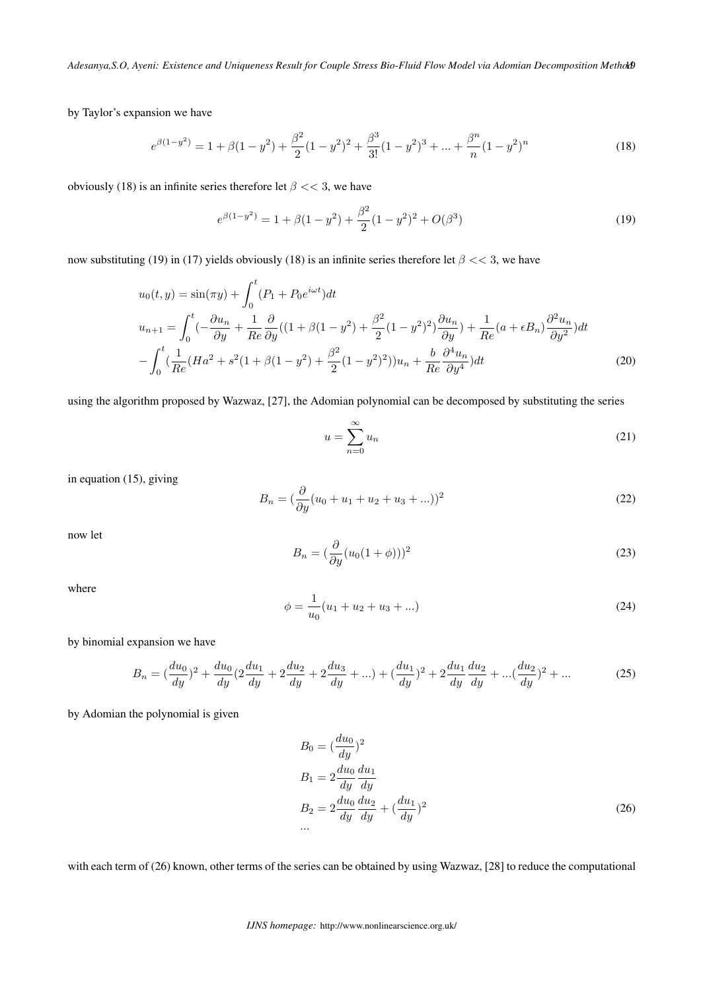by Taylor's expansion we have

$$
e^{\beta(1-y^2)} = 1 + \beta(1-y^2) + \frac{\beta^2}{2}(1-y^2)^2 + \frac{\beta^3}{3!}(1-y^2)^3 + \dots + \frac{\beta^n}{n}(1-y^2)^n \tag{18}
$$

obviously (18) is an infinite series therefore let  $\beta \ll 3$ , we have

$$
e^{\beta(1-y^2)} = 1 + \beta(1-y^2) + \frac{\beta^2}{2}(1-y^2)^2 + O(\beta^3)
$$
\n(19)

now substituting (19) in (17) yields obviously (18) is an infinite series therefore let  $\beta \ll 3$ , we have

$$
u_0(t, y) = \sin(\pi y) + \int_0^t (P_1 + P_0 e^{i\omega t}) dt
$$
  
\n
$$
u_{n+1} = \int_0^t (-\frac{\partial u_n}{\partial y} + \frac{1}{Re} \frac{\partial}{\partial y} ((1 + \beta(1 - y^2) + \frac{\beta^2}{2}(1 - y^2)^2) \frac{\partial u_n}{\partial y}) + \frac{1}{Re} (a + \epsilon B_n) \frac{\partial^2 u_n}{\partial y^2}) dt
$$
  
\n
$$
- \int_0^t (\frac{1}{Re} (Ha^2 + s^2(1 + \beta(1 - y^2) + \frac{\beta^2}{2}(1 - y^2)^2)) u_n + \frac{b}{Re} \frac{\partial^4 u_n}{\partial y^4}) dt
$$
(20)

using the algorithm proposed by Wazwaz, [27], the Adomian polynomial can be decomposed by substituting the series

$$
u = \sum_{n=0}^{\infty} u_n \tag{21}
$$

in equation (15), giving

$$
B_n = \left(\frac{\partial}{\partial y}(u_0 + u_1 + u_2 + u_3 + \ldots)\right)^2 \tag{22}
$$

now let

$$
B_n = \left(\frac{\partial}{\partial y}(u_0(1+\phi))\right)^2\tag{23}
$$

where

$$
\phi = \frac{1}{u_0}(u_1 + u_2 + u_3 + \ldots) \tag{24}
$$

by binomial expansion we have

$$
B_n = \left(\frac{du_0}{dy}\right)^2 + \frac{du_0}{dy}\left(2\frac{du_1}{dy} + 2\frac{du_2}{dy} + 2\frac{du_3}{dy} + \ldots\right) + \left(\frac{du_1}{dy}\right)^2 + 2\frac{du_1}{dy}\frac{du_2}{dy} + \ldots + \left(\frac{du_2}{dy}\right)^2 + \ldots
$$
 (25)

by Adomian the polynomial is given

$$
B_0 = \left(\frac{du_0}{dy}\right)^2
$$
  
\n
$$
B_1 = 2\frac{du_0}{dy}\frac{du_1}{dy}
$$
  
\n
$$
B_2 = 2\frac{du_0}{dy}\frac{du_2}{dy} + \left(\frac{du_1}{dy}\right)^2
$$
  
\n... (26)

with each term of (26) known, other terms of the series can be obtained by using Wazwaz, [28] to reduce the computational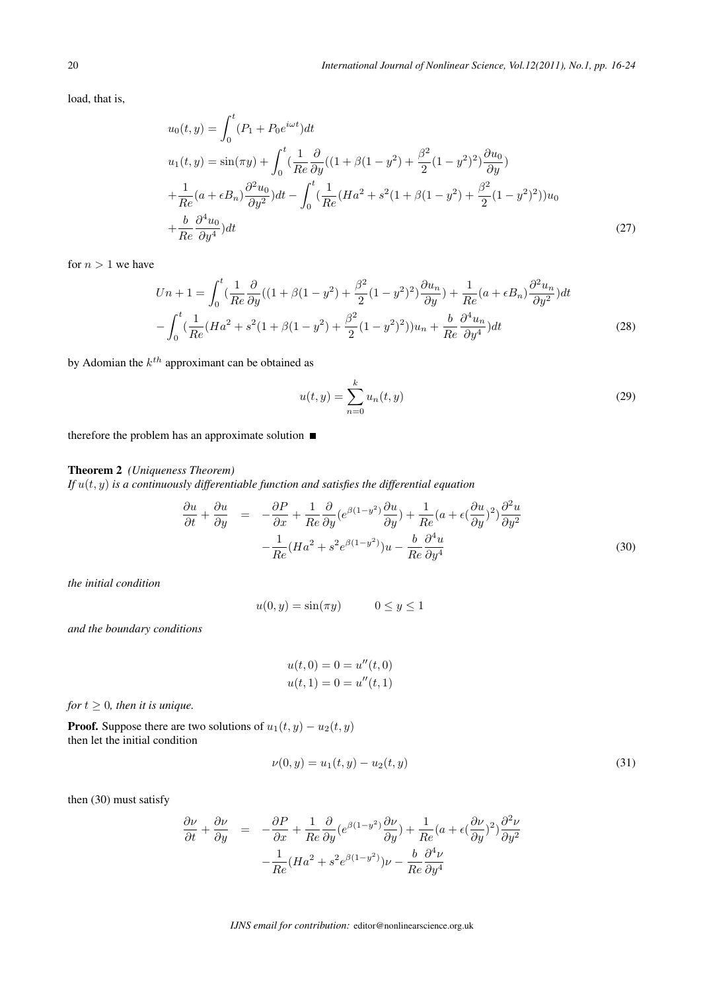load, that is,

$$
u_0(t, y) = \int_0^t (P_1 + P_0 e^{i\omega t}) dt
$$
  
\n
$$
u_1(t, y) = \sin(\pi y) + \int_0^t (\frac{1}{Re} \frac{\partial}{\partial y} ((1 + \beta(1 - y^2) + \frac{\beta^2}{2} (1 - y^2)^2) \frac{\partial u_0}{\partial y})
$$
  
\n
$$
+ \frac{1}{Re} (a + \epsilon B_n) \frac{\partial^2 u_0}{\partial y^2} ) dt - \int_0^t (\frac{1}{Re} (Ha^2 + s^2(1 + \beta(1 - y^2) + \frac{\beta^2}{2} (1 - y^2)^2)) u_0
$$
  
\n
$$
+ \frac{b}{Re} \frac{\partial^4 u_0}{\partial y^4} ) dt
$$
\n(27)

for  $n > 1$  we have

$$
Un + 1 = \int_0^t \left(\frac{1}{Re}\frac{\partial}{\partial y}((1 + \beta(1 - y^2) + \frac{\beta^2}{2}(1 - y^2)^2)\frac{\partial u_n}{\partial y}) + \frac{1}{Re}(a + \epsilon B_n)\frac{\partial^2 u_n}{\partial y^2}\right)dt
$$

$$
- \int_0^t \left(\frac{1}{Re}(Ha^2 + s^2(1 + \beta(1 - y^2) + \frac{\beta^2}{2}(1 - y^2)^2))u_n + \frac{b}{Re}\frac{\partial^4 u_n}{\partial y^4}\right)dt
$$
(28)

by Adomian the  $k^{th}$  approximant can be obtained as

$$
u(t, y) = \sum_{n=0}^{k} u_n(t, y)
$$
 (29)

therefore the problem has an approximate solution  $\blacksquare$ 

#### Theorem 2 *(Uniqueness Theorem)*

*If*  $u(t, y)$  *is a continuously differentiable function and satisfies the differential equation* 

$$
\frac{\partial u}{\partial t} + \frac{\partial u}{\partial y} = -\frac{\partial P}{\partial x} + \frac{1}{Re} \frac{\partial}{\partial y} (e^{\beta(1-y^2)} \frac{\partial u}{\partial y}) + \frac{1}{Re} (a + \epsilon (\frac{\partial u}{\partial y})^2) \frac{\partial^2 u}{\partial y^2} \n- \frac{1}{Re} (Ha^2 + s^2 e^{\beta(1-y^2)}) u - \frac{b}{Re} \frac{\partial^4 u}{\partial y^4}
$$
\n(30)

*the initial condition*

 $u(0, y) = \sin(\pi y)$   $0 \le y \le 1$ 

*and the boundary conditions*

$$
u(t, 0) = 0 = u''(t, 0)
$$
  

$$
u(t, 1) = 0 = u''(t, 1)
$$

*for*  $t \geq 0$ *, then it is unique.* 

**Proof.** Suppose there are two solutions of  $u_1(t, y) - u_2(t, y)$ then let the initial condition

$$
\nu(0, y) = u_1(t, y) - u_2(t, y) \tag{31}
$$

then (30) must satisfy

$$
\frac{\partial \nu}{\partial t} + \frac{\partial \nu}{\partial y} = -\frac{\partial P}{\partial x} + \frac{1}{Re} \frac{\partial}{\partial y} (e^{\beta(1-y^2)} \frac{\partial \nu}{\partial y}) + \frac{1}{Re} (a + \epsilon (\frac{\partial \nu}{\partial y})^2) \frac{\partial^2 \nu}{\partial y^2}
$$

$$
- \frac{1}{Re} (Ha^2 + s^2 e^{\beta(1-y^2)}) \nu - \frac{b}{Re} \frac{\partial^4 \nu}{\partial y^4}
$$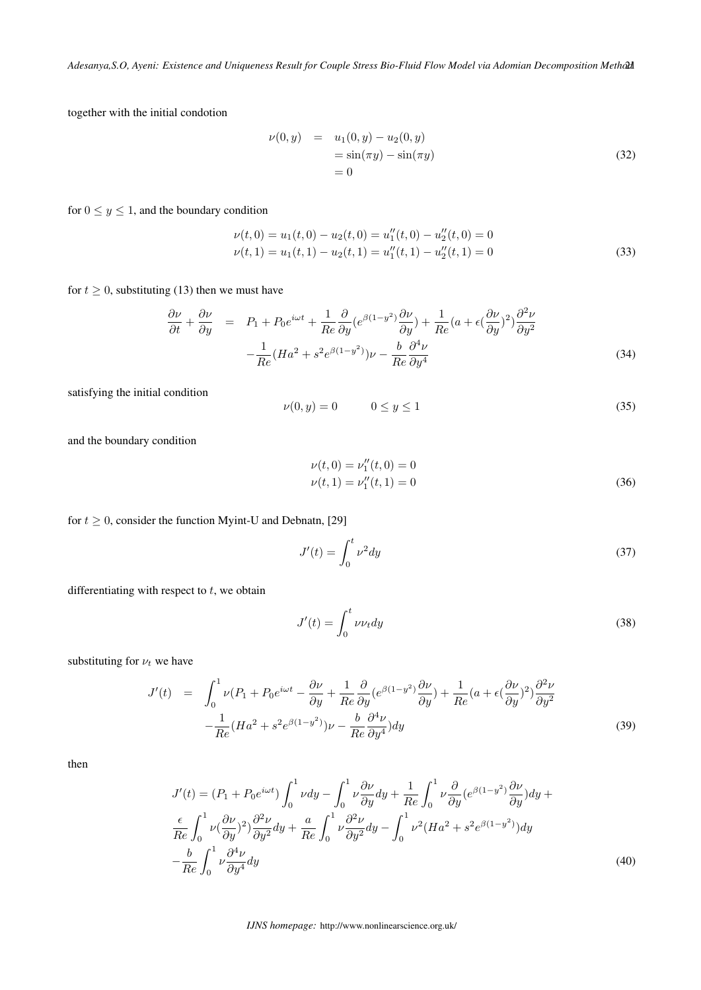together with the initial condotion

$$
\nu(0, y) = u_1(0, y) - u_2(0, y) \n= \sin(\pi y) - \sin(\pi y) \n= 0
$$
\n(32)

for  $0 \le y \le 1$ , and the boundary condition

$$
\nu(t,0) = u_1(t,0) - u_2(t,0) = u_1''(t,0) - u_2''(t,0) = 0
$$
  

$$
\nu(t,1) = u_1(t,1) - u_2(t,1) = u_1''(t,1) - u_2''(t,1) = 0
$$
 (33)

for  $t \geq 0$ , substituting (13) then we must have

$$
\frac{\partial \nu}{\partial t} + \frac{\partial \nu}{\partial y} = P_1 + P_0 e^{i\omega t} + \frac{1}{Re} \frac{\partial}{\partial y} (e^{\beta (1 - y^2)} \frac{\partial \nu}{\partial y}) + \frac{1}{Re} (a + \epsilon (\frac{\partial \nu}{\partial y})^2) \frac{\partial^2 \nu}{\partial y^2}
$$

$$
- \frac{1}{Re} (Ha^2 + s^2 e^{\beta (1 - y^2)}) \nu - \frac{b}{Re} \frac{\partial^4 \nu}{\partial y^4}
$$
(34)

satisfying the initial condition

$$
\nu(0, y) = 0 \qquad \qquad 0 \le y \le 1 \tag{35}
$$

and the boundary condition

$$
\nu(t,0) = \nu_1''(t,0) = 0
$$
  

$$
\nu(t,1) = \nu_1''(t,1) = 0
$$
 (36)

for  $t \geq 0$ , consider the function Myint-U and Debnatn, [29]

$$
J'(t) = \int_0^t \nu^2 dy \tag{37}
$$

differentiating with respect to  $t$ , we obtain

$$
J'(t) = \int_0^t \nu \nu_t dy \tag{38}
$$

substituting for  $\nu_t$  we have

$$
J'(t) = \int_0^1 \nu(P_1 + P_0 e^{i\omega t} - \frac{\partial \nu}{\partial y} + \frac{1}{Re} \frac{\partial}{\partial y} (e^{\beta(1-y^2)} \frac{\partial \nu}{\partial y}) + \frac{1}{Re} (a + \epsilon (\frac{\partial \nu}{\partial y})^2) \frac{\partial^2 \nu}{\partial y^2} - \frac{1}{Re} (Ha^2 + s^2 e^{\beta(1-y^2)}) \nu - \frac{b}{Re} \frac{\partial^4 \nu}{\partial y^4} ) dy
$$
(39)

then

$$
J'(t) = (P_1 + P_0 e^{i\omega t}) \int_0^1 \nu dy - \int_0^1 \nu \frac{\partial \nu}{\partial y} dy + \frac{1}{Re} \int_0^1 \nu \frac{\partial}{\partial y} (e^{\beta (1 - y^2)} \frac{\partial \nu}{\partial y}) dy + \frac{\epsilon}{Re} \int_0^1 \nu (\frac{\partial \nu}{\partial y})^2 \frac{\partial^2 \nu}{\partial y^2} dy + \frac{a}{Re} \int_0^1 \nu \frac{\partial^2 \nu}{\partial y^2} dy - \int_0^1 \nu^2 (Ha^2 + s^2 e^{\beta (1 - y^2)}) dy - \frac{b}{Re} \int_0^1 \nu \frac{\partial^4 \nu}{\partial y^4} dy
$$
\n(40)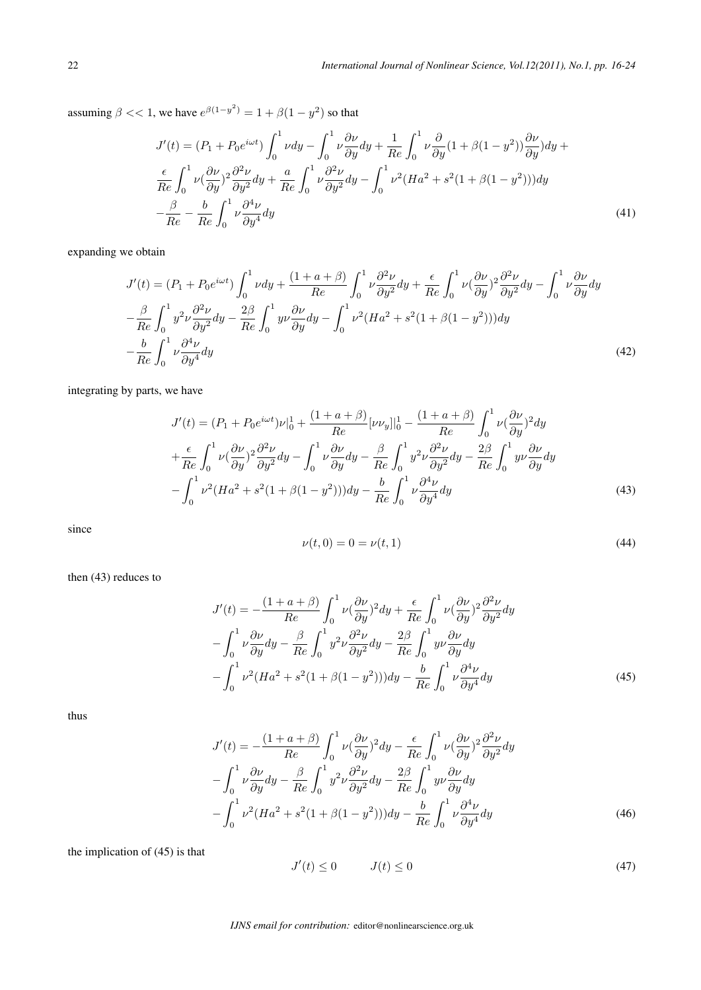assuming  $\beta \ll 1$ , we have  $e^{\beta(1-y^2)} = 1 + \beta(1-y^2)$  so that

$$
J'(t) = (P_1 + P_0 e^{i\omega t}) \int_0^1 \nu dy - \int_0^1 \nu \frac{\partial \nu}{\partial y} dy + \frac{1}{Re} \int_0^1 \nu \frac{\partial}{\partial y} (1 + \beta (1 - y^2)) \frac{\partial \nu}{\partial y} dy + \frac{\epsilon}{Re} \int_0^1 \nu (\frac{\partial \nu}{\partial y})^2 \frac{\partial^2 \nu}{\partial y^2} dy + \frac{a}{Re} \int_0^1 \nu \frac{\partial^2 \nu}{\partial y^2} dy - \int_0^1 \nu^2 (Ha^2 + s^2 (1 + \beta (1 - y^2))) dy - \frac{\beta}{Re} - \frac{b}{Re} \int_0^1 \nu \frac{\partial^4 \nu}{\partial y^4} dy
$$
\n(41)

expanding we obtain

$$
J'(t) = (P_1 + P_0 e^{i\omega t}) \int_0^1 \nu dy + \frac{(1 + a + \beta)}{Re} \int_0^1 \nu \frac{\partial^2 \nu}{\partial y^2} dy + \frac{\epsilon}{Re} \int_0^1 \nu (\frac{\partial \nu}{\partial y})^2 \frac{\partial^2 \nu}{\partial y^2} dy - \int_0^1 \nu \frac{\partial \nu}{\partial y} dy
$$
  

$$
-\frac{\beta}{Re} \int_0^1 y^2 \nu \frac{\partial^2 \nu}{\partial y^2} dy - \frac{2\beta}{Re} \int_0^1 y \nu \frac{\partial \nu}{\partial y} dy - \int_0^1 \nu^2 (Ha^2 + s^2 (1 + \beta(1 - y^2))) dy
$$
  

$$
-\frac{b}{Re} \int_0^1 \nu \frac{\partial^4 \nu}{\partial y^4} dy
$$
(42)

integrating by parts, we have

$$
J'(t) = (P_1 + P_0 e^{i\omega t})\nu|_0^1 + \frac{(1+a+\beta)}{Re}[\nu\nu_y]|_0^1 - \frac{(1+a+\beta)}{Re}\int_0^1 \nu(\frac{\partial \nu}{\partial y})^2 dy + \frac{\epsilon}{Re}\int_0^1 \nu(\frac{\partial \nu}{\partial y})^2 \frac{\partial^2 \nu}{\partial y^2} dy - \int_0^1 \nu \frac{\partial \nu}{\partial y} dy - \frac{\beta}{Re}\int_0^1 y^2 \nu \frac{\partial^2 \nu}{\partial y^2} dy - \frac{2\beta}{Re}\int_0^1 y \nu \frac{\partial \nu}{\partial y} dy - \int_0^1 \nu^2 (Ha^2 + s^2(1+\beta(1-y^2))) dy - \frac{b}{Re}\int_0^1 \nu \frac{\partial^4 \nu}{\partial y^4} dy
$$
(43)

since

$$
\nu(t,0) = 0 = \nu(t,1) \tag{44}
$$

then (43) reduces to

$$
J'(t) = -\frac{(1+a+\beta)}{Re} \int_0^1 \nu \left(\frac{\partial \nu}{\partial y}\right)^2 dy + \frac{\epsilon}{Re} \int_0^1 \nu \left(\frac{\partial \nu}{\partial y}\right)^2 \frac{\partial^2 \nu}{\partial y^2} dy
$$

$$
-\int_0^1 \nu \frac{\partial \nu}{\partial y} dy - \frac{\beta}{Re} \int_0^1 y^2 \nu \frac{\partial^2 \nu}{\partial y^2} dy - \frac{2\beta}{Re} \int_0^1 y \nu \frac{\partial \nu}{\partial y} dy
$$

$$
-\int_0^1 \nu^2 (Ha^2 + s^2 (1+\beta(1-y^2))) dy - \frac{b}{Re} \int_0^1 \nu \frac{\partial^4 \nu}{\partial y^4} dy \tag{45}
$$

thus

$$
J'(t) = -\frac{(1+a+\beta)}{Re} \int_0^1 \nu \left(\frac{\partial \nu}{\partial y}\right)^2 dy - \frac{\epsilon}{Re} \int_0^1 \nu \left(\frac{\partial \nu}{\partial y}\right)^2 \frac{\partial^2 \nu}{\partial y^2} dy
$$

$$
- \int_0^1 \nu \frac{\partial \nu}{\partial y} dy - \frac{\beta}{Re} \int_0^1 y^2 \nu \frac{\partial^2 \nu}{\partial y^2} dy - \frac{2\beta}{Re} \int_0^1 y \nu \frac{\partial \nu}{\partial y} dy
$$

$$
- \int_0^1 \nu^2 (Ha^2 + s^2 (1+\beta(1-y^2))) dy - \frac{b}{Re} \int_0^1 \nu \frac{\partial^4 \nu}{\partial y^4} dy
$$
(46)

the implication of (45) is that

$$
J'(t) \le 0 \qquad J(t) \le 0 \tag{47}
$$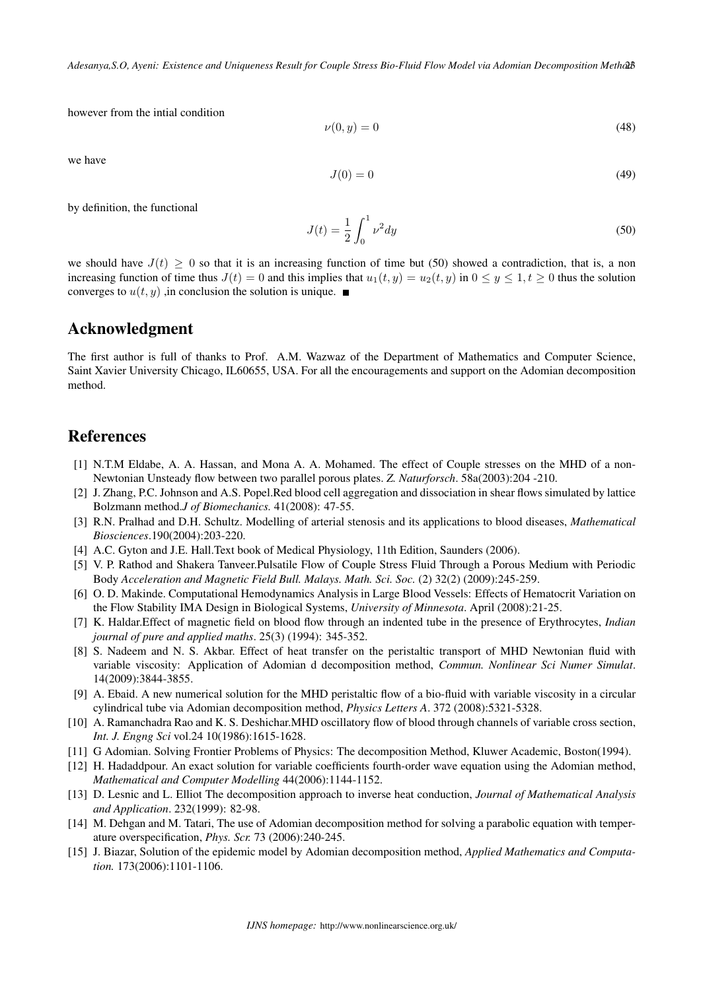however from the intial condition

$$
\nu(0, y) = 0 \tag{48}
$$

we have

$$
J(0) = 0 \tag{49}
$$

by definition, the functional

$$
J(t) = \frac{1}{2} \int_0^1 \nu^2 dy
$$
 (50)

we should have  $J(t) \geq 0$  so that it is an increasing function of time but (50) showed a contradiction, that is, a non increasing function of time thus  $J(t) = 0$  and this implies that  $u_1(t, y) = u_2(t, y)$  in  $0 \le y \le 1, t \ge 0$  thus the solution converges to  $u(t, y)$ , in conclusion the solution is unique.

### Acknowledgment

The first author is full of thanks to Prof. A.M. Wazwaz of the Department of Mathematics and Computer Science, Saint Xavier University Chicago, IL60655, USA. For all the encouragements and support on the Adomian decomposition method.

### **References**

- [1] N.T.M Eldabe, A. A. Hassan, and Mona A. A. Mohamed. The effect of Couple stresses on the MHD of a non-Newtonian Unsteady flow between two parallel porous plates. *Z. Naturforsch*. 58a(2003):204 -210.
- [2] J. Zhang, P.C. Johnson and A.S. Popel.Red blood cell aggregation and dissociation in shear flows simulated by lattice Bolzmann method.*J of Biomechanics.* 41(2008): 47-55.
- [3] R.N. Pralhad and D.H. Schultz. Modelling of arterial stenosis and its applications to blood diseases, *Mathematical Biosciences*.190(2004):203-220.
- [4] A.C. Gyton and J.E. Hall.Text book of Medical Physiology, 11th Edition, Saunders (2006).
- [5] V. P. Rathod and Shakera Tanveer.Pulsatile Flow of Couple Stress Fluid Through a Porous Medium with Periodic Body *Acceleration and Magnetic Field Bull. Malays. Math. Sci. Soc.* (2) 32(2) (2009):245-259.
- [6] O. D. Makinde. Computational Hemodynamics Analysis in Large Blood Vessels: Effects of Hematocrit Variation on the Flow Stability IMA Design in Biological Systems, *University of Minnesota*. April (2008):21-25.
- [7] K. Haldar.Effect of magnetic field on blood flow through an indented tube in the presence of Erythrocytes, *Indian journal of pure and applied maths*. 25(3) (1994): 345-352.
- [8] S. Nadeem and N. S. Akbar. Effect of heat transfer on the peristaltic transport of MHD Newtonian fluid with variable viscosity: Application of Adomian d decomposition method, *Commun. Nonlinear Sci Numer Simulat*. 14(2009):3844-3855.
- [9] A. Ebaid. A new numerical solution for the MHD peristaltic flow of a bio-fluid with variable viscosity in a circular cylindrical tube via Adomian decomposition method, *Physics Letters A*. 372 (2008):5321-5328.
- [10] A. Ramanchadra Rao and K. S. Deshichar.MHD oscillatory flow of blood through channels of variable cross section, *Int. J. Engng Sci* vol.24 10(1986):1615-1628.
- [11] G Adomian. Solving Frontier Problems of Physics: The decomposition Method, Kluwer Academic, Boston(1994).
- [12] H. Hadaddpour. An exact solution for variable coefficients fourth-order wave equation using the Adomian method, *Mathematical and Computer Modelling* 44(2006):1144-1152.
- [13] D. Lesnic and L. Elliot The decomposition approach to inverse heat conduction, *Journal of Mathematical Analysis and Application*. 232(1999): 82-98.
- [14] M. Dehgan and M. Tatari, The use of Adomian decomposition method for solving a parabolic equation with temperature overspecification, *Phys. Scr.* 73 (2006):240-245.
- [15] J. Biazar, Solution of the epidemic model by Adomian decomposition method, *Applied Mathematics and Computation.* 173(2006):1101-1106.